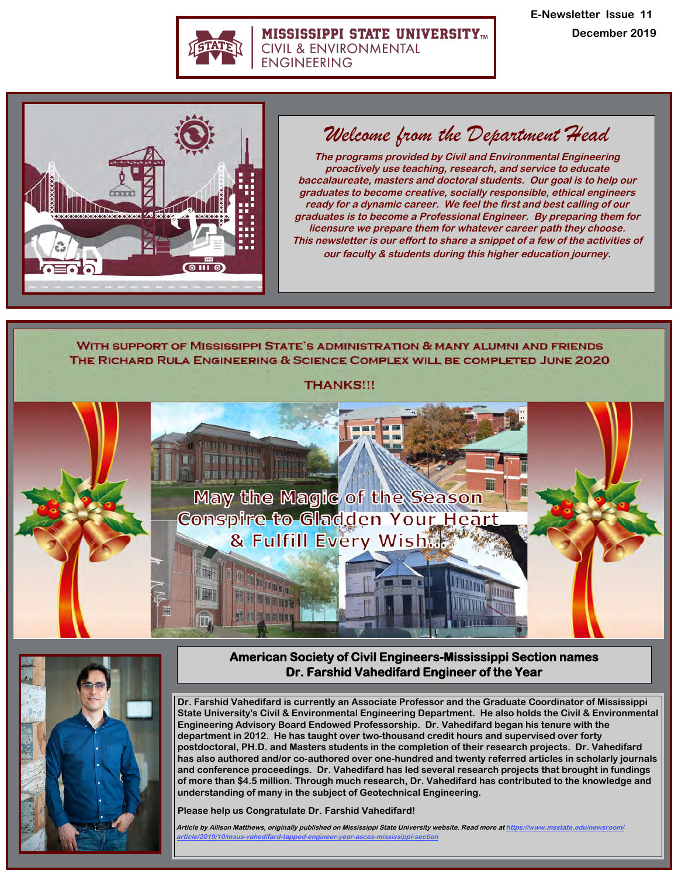

#### **MISSISSIPPI STATE UNIVERSITYTM CIVIL & ENVIRONMENTAL ENGINEERING**

**E-Newsletter Issue 11 December 2019**



# *Welcome from the Department Head*

**The programs provided by Civil and Environmental Engineering proactively use teaching, research, and service to educate baccalaureate, masters and doctoral students. Our goal is to help our graduates to become creative, socially responsible, ethical engineers ready for a dynamic career. We feel the first and best calling of our graduates is to become a Professional Engineer. By preparing them for licensure we prepare them for whatever career path they choose. This newsletter is our effort to share a snippet of a few of the activities of our faculty & students during this higher education journey.** 

WITH SUPPORT OF MISSISSIPPI STATE'S ADMINISTRATION & MANY ALUMNI AND FRIENDS THE RICHARD RULA ENGINEERING & SCIENCE COMPLEX WILL BE COMPLETED JUNE 2020

**THANKS!!!** 





## **American Society of Civil Engineers-Mississippi Section names Dr. Farshid Vahedifard Engineer of the Year**

**Dr. Farshid Vahedifard is currently an Associate Professor and the Graduate Coordinator of Mississippi State University's Civil & Environmental Engineering Department. He also holds the Civil & Environmental Engineering Advisory Board Endowed Professorship. Dr. Vahedifard began his tenure with the department in 2012. He has taught over two-thousand credit hours and supervised over forty postdoctoral, PH.D. and Masters students in the completion of their research projects. Dr. Vahedifard has also authored and/or co-authored over one-hundred and twenty referred articles in scholarly journals and conference proceedings. Dr. Vahedifard has led several research projects that brought in fundings of more than \$4.5 million. Through much research, Dr. Vahedifard has contributed to the knowledge and understanding of many in the subject of Geotechnical Engineering.**

**Please help us Congratulate Dr. Farshid Vahedifard!**

**Article by Allison Matthews, [originally published on Mississippi State University website. Read more](https://www.msstate.edu/newsroom/article/2019/04/msu-psychology-major-university-s-newest-fulbright-finalist/) at https://www.msstate.edu/newsroom/ [article/2019/10/msus-vahedifard-tapp](https://www.msstate.edu/newsroom/article/2019/04/msu-psychology-major-university-s-newest-fulbright-finalist/)ed-engineer-year-asces-mississippi-section**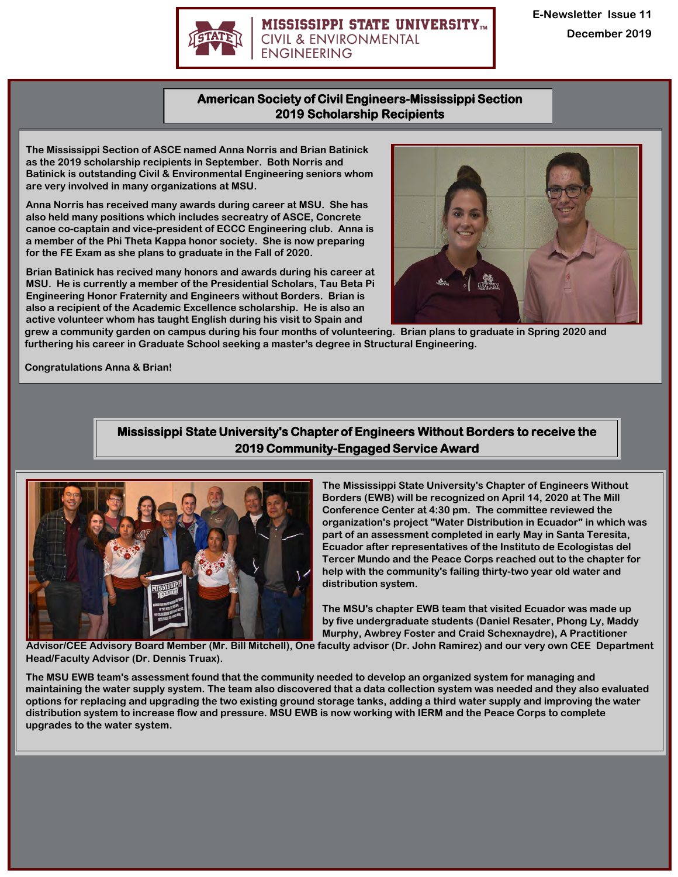

#### **MISSISSIPPI STATE UNIVERSITY<sub>m</sub> CIVIL & ENVIRONMENTAL ENGINEERING**

**E-Newsletter Issue 11 December 2019** 

## **American Society of Civil Engineers-Mississippi Section 2019 Scholarship Recipients**

**The Mississippi Section of ASCE named Anna Norris and Brian Batinick as the 2019 scholarship recipients in September. Both Norris and Batinick is outstanding Civil & Environmental Engineering seniors whom are very involved in many organizations at MSU.**

**Anna Norris has received many awards during career at MSU. She has also held many positions which includes secreatry of ASCE, Concrete canoe co-captain and vice-president of ECCC Engineering club. Anna is a member of the Phi Theta Kappa honor society. She is now preparing for the FE Exam as she plans to graduate in the Fall of 2020.** 

**Brian Batinick has recived many honors and awards during his career at MSU. He is currently a member of the Presidential Scholars, Tau Beta Pi Engineering Honor Fraternity and Engineers without Borders. Brian is also a recipient of the Academic Excellence scholarship. He is also an active volunteer whom has taught English during his visit to Spain and** 



**grew a community garden on campus during his four months of volunteering. Brian plans to graduate in Spring 2020 and furthering his career in Graduate School seeking a master's degree in Structural Engineering.**

**Congratulations Anna & Brian!**

# **Mississippi State University's Chapter of Engineers Without Borders to receive the 2019 Community-Engaged Service Award**



**The Mississippi State University's Chapter of Engineers Without Borders (EWB) will be recognized on April 14, 2020 at The Mill Conference Center at 4:30 pm. The committee reviewed the organization's project "Water Distribution in Ecuador" in which was part of an assessment completed in early May in Santa Teresita, Ecuador after representatives of the Instituto de Ecologistas del Tercer Mundo and the Peace Corps reached out to the chapter for help with the community's failing thirty-two year old water and distribution system.**

**The MSU's chapter EWB team that visited Ecuador was made up by five undergraduate students (Daniel Resater, Phong Ly, Maddy Murphy, Awbrey Foster and Craid Schexnaydre), A Practitioner** 

**Advisor/CEE Advisory Board Member (Mr. Bill Mitchell), One faculty advisor (Dr. John Ramirez) and our very own CEE Department Head/Faculty Advisor (Dr. Dennis Truax).** 

**The MSU EWB team's assessment found that the community needed to develop an organized system for managing and maintaining the water supply system. The team also discovered that a data collection system was needed and they also evaluated options for replacing and upgrading the two existing ground storage tanks, adding a third water supply and improving the water distribution system to increase flow and pressure. MSU EWB is now working with IERM and the Peace Corps to complete upgrades to the water system.**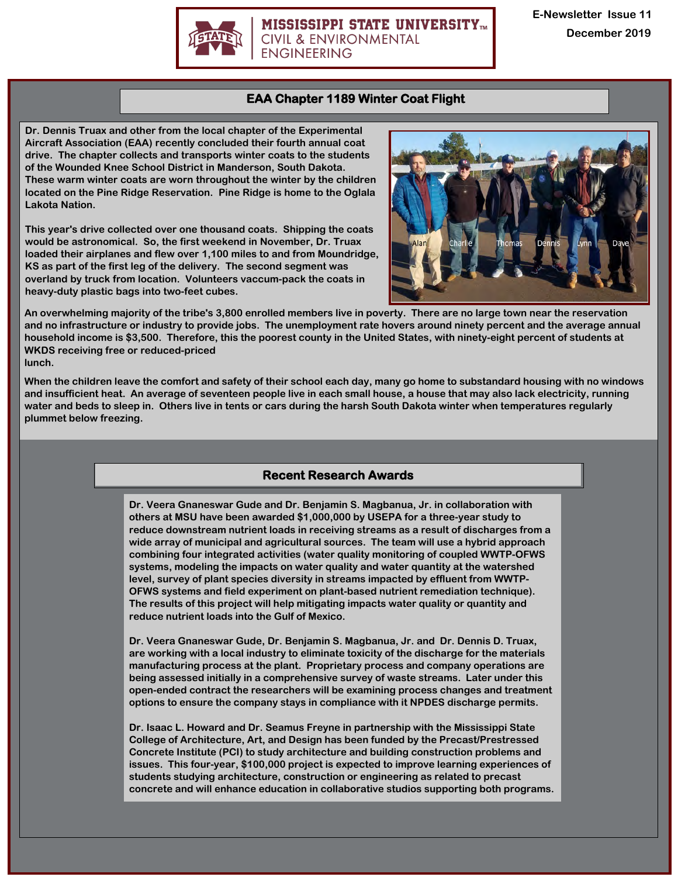

#### **MISSISSIPPI STATE UNIVERSITY<sub>m</sub> CIVIL & ENVIRONMENTAL ENGINEERING**

### **EAA Chapter 1189 Winter Coat Flight**

**Dr. Dennis Truax and other from the local chapter of the Experimental Aircraft Association (EAA) recently concluded their fourth annual coat drive. The chapter collects and transports winter coats to the students of the Wounded Knee School District in Manderson, South Dakota. These warm winter coats are worn throughout the winter by the children located on the Pine Ridge Reservation. Pine Ridge is home to the Oglala Lakota Nation.**

**This year's drive collected over one thousand coats. Shipping the coats would be astronomical. So, the first weekend in November, Dr. Truax loaded their airplanes and flew over 1,100 miles to and from Moundridge, KS as part of the first leg of the delivery. The second segment was overland by truck from location. Volunteers vaccum-pack the coats in heavy-duty plastic bags into two-feet cubes.** 



**An overwhelming majority of the tribe's 3,800 enrolled members live in poverty. There are no large town near the reservation and no infrastructure or industry to provide jobs. The unemployment rate hovers around ninety percent and the average annual household income is \$3,500. Therefore, this the poorest county in the United States, with ninety-eight percent of students at WKDS receiving free or reduced-priced lunch.**

**When the children leave the comfort and safety of their school each day, many go home to substandard housing with no windows and insufficient heat. An average of seventeen people live in each small house, a house that may also lack electricity, running water and beds to sleep in. Others live in tents or cars during the harsh South Dakota winter when temperatures regularly plummet below freezing.**

# **Recent Research Awards**

**Dr. Veera Gnaneswar Gude and Dr. Benjamin S. Magbanua, Jr. in collaboration with others at MSU have been awarded \$1,000,000 by USEPA for a three-year study to reduce downstream nutrient loads in receiving streams as a result of discharges from a wide array of municipal and agricultural sources. The team will use a hybrid approach combining four integrated activities (water quality monitoring of coupled WWTP-OFWS systems, modeling the impacts on water quality and water quantity at the watershed level, survey of plant species diversity in streams impacted by effluent from WWTP-OFWS systems and field experiment on plant-based nutrient remediation technique). The results of this project will help mitigating impacts water quality or quantity and reduce nutrient loads into the Gulf of Mexico.**

**Dr. Veera Gnaneswar Gude, Dr. Benjamin S. Magbanua, Jr. and Dr. Dennis D. Truax, are working with a local industry to eliminate toxicity of the discharge for the materials manufacturing process at the plant. Proprietary process and company operations are being assessed initially in a comprehensive survey of waste streams. Later under this open-ended contract the researchers will be examining process changes and treatment options to ensure the company stays in compliance with it NPDES discharge permits.**

**Dr. Isaac L. Howard and Dr. Seamus Freyne in partnership with the Mississippi State College of Architecture, Art, and Design has been funded by the Precast/Prestressed Concrete Institute (PCI) to study architecture and building construction problems and issues. This four-year, \$100,000 project is expected to improve learning experiences of students studying architecture, construction or engineering as related to precast concrete and will enhance education in collaborative studios supporting both programs.**